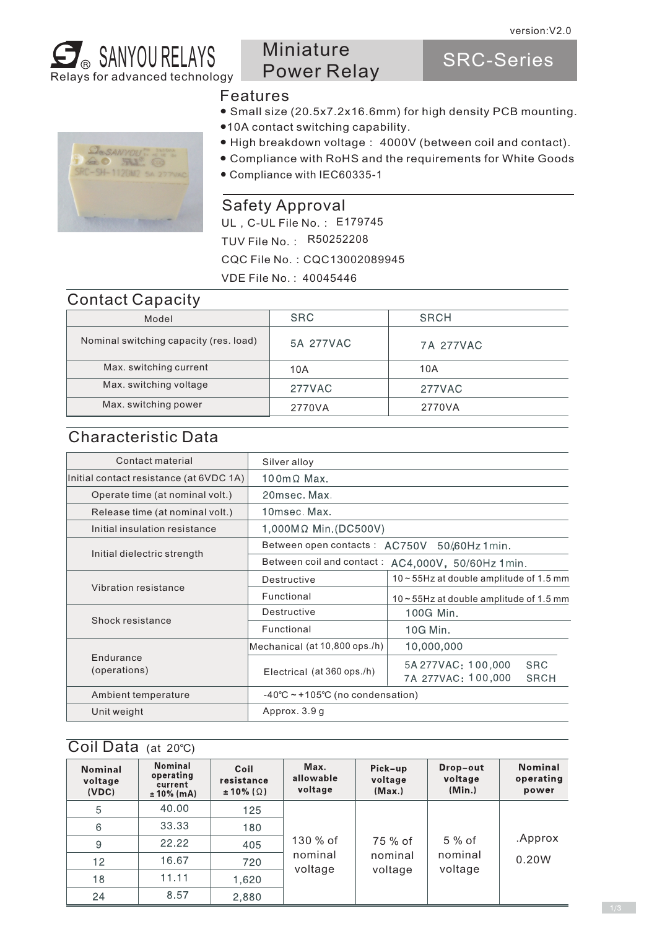

## Miniature Power Relay

SRC-Series



#### Features

- Small size (20.5x7.2x16.6mm) for high density PCB mounting.
- ●10A contact switching capability.
- High breakdown voltage: 4000V (between coil and contact).
- Compliance with RoHS and the requirements for White Goods
- Compliance with IEC60335-1

#### Safety Approval

UL, C-UL File No.: E179745 TUV File No.: R50252208 CQC File No.:CQC13002089945 VDE File No. : 40045446

#### Contact Capacity

| Model                                  | <b>SRC</b> | SRCH      |
|----------------------------------------|------------|-----------|
| Nominal switching capacity (res. load) | 5A 277VAC  | 7A 277VAC |
| Max. switching current                 | 10A        | 10A       |
| Max. switching voltage                 | 277VAC     | 277VAC    |
| Max. switching power                   | 2770VA     | 2770VA    |

#### Characteristic Data

| Contact material                        | Silver alloy                                       |                                                                       |  |  |  |  |
|-----------------------------------------|----------------------------------------------------|-----------------------------------------------------------------------|--|--|--|--|
| Initial contact resistance (at 6VDC 1A) | $100 \text{m} \Omega$ Max.                         |                                                                       |  |  |  |  |
| Operate time (at nominal volt.)         | 20msec. Max.                                       |                                                                       |  |  |  |  |
| Release time (at nominal volt.)         | 10msec. Max.                                       |                                                                       |  |  |  |  |
| Initial insulation resistance           | 1,000MΩ Min.(DC500V)                               |                                                                       |  |  |  |  |
|                                         |                                                    | Between open contacts: AC750V 50/60Hz 1min.                           |  |  |  |  |
| Initial dielectric strength             | Between coil and contact: AC4,000V, 50/60Hz 1 min. |                                                                       |  |  |  |  |
|                                         | Destructive                                        | $10 \sim 55$ Hz at double amplitude of 1.5 mm                         |  |  |  |  |
| Vibration resistance                    | Functional                                         | $10 - 55$ Hz at double amplitude of 1.5 mm                            |  |  |  |  |
|                                         | Destructive                                        | 100G Min.                                                             |  |  |  |  |
| Shock resistance                        | Functional                                         | 10G Min.                                                              |  |  |  |  |
|                                         | Mechanical (at 10,800 ops./h)                      | 10,000,000                                                            |  |  |  |  |
| <b>Fndurance</b><br>(operations)        | Electrical (at 360 ops./h)                         | 5A 277VAC: 100,000<br><b>SRC</b><br>7A 277VAC: 100,000<br><b>SRCH</b> |  |  |  |  |
| Ambient temperature                     | $-40^{\circ}$ C ~ +105°C (no condensation)         |                                                                       |  |  |  |  |
| Unit weight                             | Approx. 3.9 g                                      |                                                                       |  |  |  |  |
|                                         |                                                    |                                                                       |  |  |  |  |

#### Coil Data (at 20℃)

| <b>Nominal</b><br>voltage<br>(VDC) | Nominal<br>operating<br>current<br>$± 10\% (mA)$ | Coil<br>resistance<br>$\pm 10\%$ ( $\Omega$ ) | Max.<br>allowable<br>voltage | Pick-up<br>voltage<br>(Max.) | Drop-out<br>voltage<br>(Min.) | <b>Nominal</b><br>operating<br>power |  |  |
|------------------------------------|--------------------------------------------------|-----------------------------------------------|------------------------------|------------------------------|-------------------------------|--------------------------------------|--|--|
| 5                                  | 40.00                                            | 125                                           |                              |                              |                               |                                      |  |  |
| 6                                  | 33.33                                            | 180                                           |                              |                              | 5 % of<br>nominal<br>voltage  |                                      |  |  |
| 9                                  | 22.22                                            | 405                                           | 130 % of                     | 75 % of                      |                               | .Approx                              |  |  |
| 12                                 | 16.67                                            | 720                                           | nominal<br>voltage           | nominal                      |                               | 0.20W                                |  |  |
| 18                                 | 11.11                                            | 1,620                                         |                              | voltage                      |                               |                                      |  |  |
| 24                                 | 8.57                                             | 2,880                                         |                              |                              |                               |                                      |  |  |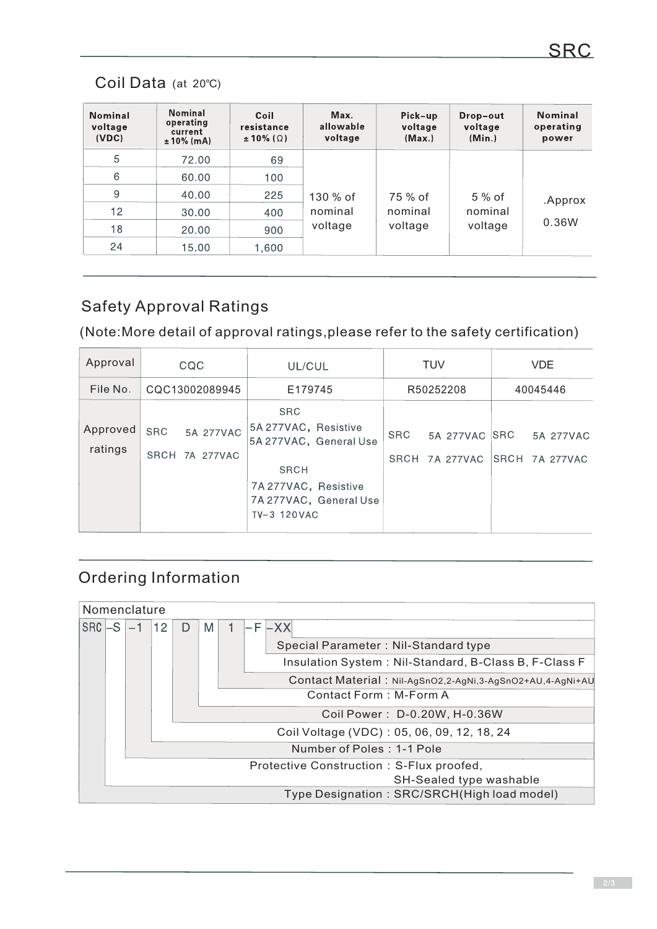## Coil Data (at 20℃)

| Nominal<br>voltage<br>(VDC) | <b>Nominal</b><br>operating<br>current<br>$± 10\%$ (mA) | Coil<br>resistance<br>$\pm 10\%$ ( $\Omega$ ) | Max.<br>allowable<br>voltage | Pick-up<br>voltage<br>(Max.) | Drop-out<br>voltage<br>(Min.) | <b>Nominal</b><br>operating<br>power |
|-----------------------------|---------------------------------------------------------|-----------------------------------------------|------------------------------|------------------------------|-------------------------------|--------------------------------------|
| 5                           | 72.00                                                   | 69                                            |                              |                              |                               |                                      |
| 6                           | 60.00                                                   | 100                                           |                              |                              |                               |                                      |
| 9                           | 40.00                                                   | 225                                           | 130 % of                     | 75 % of                      | $5%$ of                       | .Approx<br>0.36W                     |
| 12                          | 30.00                                                   | 400                                           | nominal<br>voltage           | nominal                      | nominal                       |                                      |
| 18                          | 20.00                                                   | 900                                           |                              | voltage                      | voltage                       |                                      |
| 24                          | 15.00                                                   | 1,600                                         |                              |                              |                               |                                      |

## Safety Approval Ratings

(Note:More detail of approval ratings,please refer to the safety certification)

| Approval            | CQC            |  | UL/CUL                      |                                                                                          | <b>TUV</b>                                       |                    | <b>VDE</b>                 |  |                             |
|---------------------|----------------|--|-----------------------------|------------------------------------------------------------------------------------------|--------------------------------------------------|--------------------|----------------------------|--|-----------------------------|
| File No.            | CQC13002089945 |  | E179745                     |                                                                                          | R50252208                                        |                    | 40045446                   |  |                             |
| Approved<br>ratings | <b>SRC</b>     |  | 5A 277VAC<br>SRCH 7A 277VAC | <b>SRC</b><br>5A 277VAC, Resistive<br><b>SRCH</b><br>7A 277VAC, Resistive<br>TV-3 120VAC | 5A 277VAC, General Use<br>7A 277VAC, General Use | <b>SRC</b><br>SRCH | 5A 277VAC SRC<br>7A 277VAC |  | 5A 277VAC<br>SRCH 7A 277VAC |

# Ordering Information